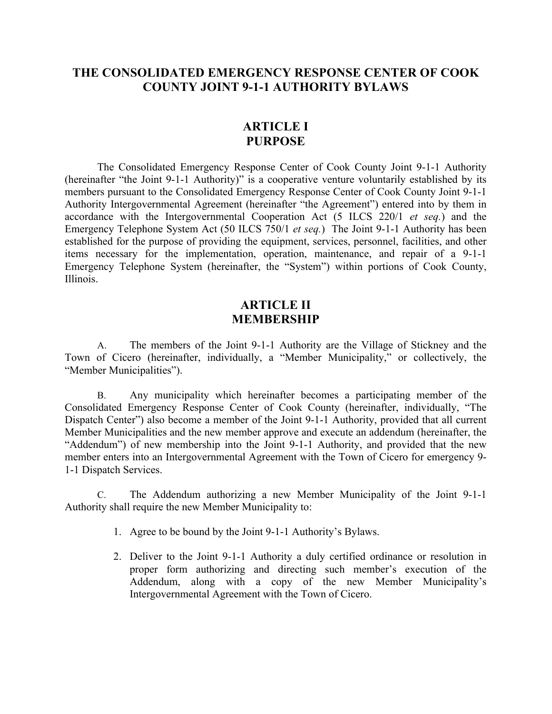## **THE CONSOLIDATED EMERGENCY RESPONSE CENTER OF COOK COUNTY JOINT 9-1-1 AUTHORITY BYLAWS**

## **ARTICLE I PURPOSE**

The Consolidated Emergency Response Center of Cook County Joint 9-1-1 Authority (hereinafter "the Joint 9-1-1 Authority)" is a cooperative venture voluntarily established by its members pursuant to the Consolidated Emergency Response Center of Cook County Joint 9-1-1 Authority Intergovernmental Agreement (hereinafter "the Agreement") entered into by them in accordance with the Intergovernmental Cooperation Act (5 ILCS 220/1 *et seq.*) and the Emergency Telephone System Act (50 ILCS 750/1 *et seq.*) The Joint 9-1-1 Authority has been established for the purpose of providing the equipment, services, personnel, facilities, and other items necessary for the implementation, operation, maintenance, and repair of a 9-1-1 Emergency Telephone System (hereinafter, the "System") within portions of Cook County, Illinois.

## **ARTICLE II MEMBERSHIP**

A. The members of the Joint 9-1-1 Authority are the Village of Stickney and the Town of Cicero (hereinafter, individually, a "Member Municipality," or collectively, the "Member Municipalities").

B. Any municipality which hereinafter becomes a participating member of the Consolidated Emergency Response Center of Cook County (hereinafter, individually, "The Dispatch Center") also become a member of the Joint 9-1-1 Authority, provided that all current Member Municipalities and the new member approve and execute an addendum (hereinafter, the "Addendum") of new membership into the Joint 9-1-1 Authority, and provided that the new member enters into an Intergovernmental Agreement with the Town of Cicero for emergency 9- 1-1 Dispatch Services.

C. The Addendum authorizing a new Member Municipality of the Joint 9-1-1 Authority shall require the new Member Municipality to:

- 1. Agree to be bound by the Joint 9-1-1 Authority's Bylaws.
- 2. Deliver to the Joint 9-1-1 Authority a duly certified ordinance or resolution in proper form authorizing and directing such member's execution of the Addendum, along with a copy of the new Member Municipality's Intergovernmental Agreement with the Town of Cicero.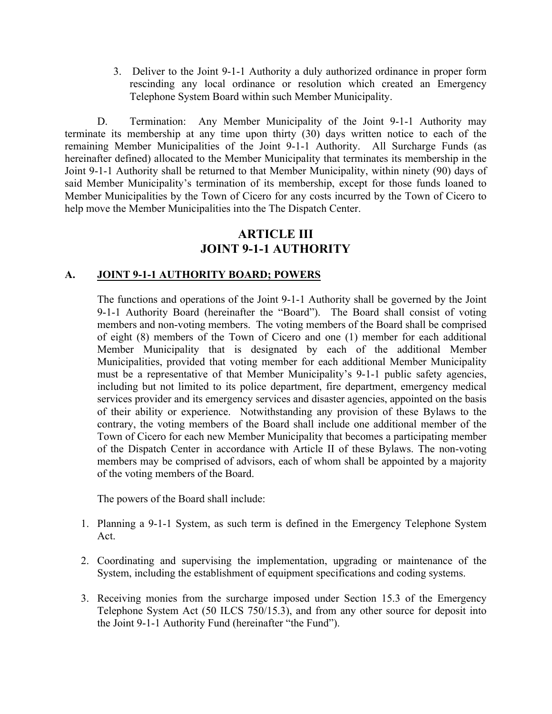3. Deliver to the Joint 9-1-1 Authority a duly authorized ordinance in proper form rescinding any local ordinance or resolution which created an Emergency Telephone System Board within such Member Municipality.

D. Termination: Any Member Municipality of the Joint 9-1-1 Authority may terminate its membership at any time upon thirty (30) days written notice to each of the remaining Member Municipalities of the Joint 9-1-1 Authority. All Surcharge Funds (as hereinafter defined) allocated to the Member Municipality that terminates its membership in the Joint 9-1-1 Authority shall be returned to that Member Municipality, within ninety (90) days of said Member Municipality's termination of its membership, except for those funds loaned to Member Municipalities by the Town of Cicero for any costs incurred by the Town of Cicero to help move the Member Municipalities into the The Dispatch Center.

## **ARTICLE III JOINT 9-1-1 AUTHORITY**

## **A. JOINT 9-1-1 AUTHORITY BOARD; POWERS**

The functions and operations of the Joint 9-1-1 Authority shall be governed by the Joint 9-1-1 Authority Board (hereinafter the "Board"). The Board shall consist of voting members and non-voting members. The voting members of the Board shall be comprised of eight (8) members of the Town of Cicero and one (1) member for each additional Member Municipality that is designated by each of the additional Member Municipalities, provided that voting member for each additional Member Municipality must be a representative of that Member Municipality's 9-1-1 public safety agencies, including but not limited to its police department, fire department, emergency medical services provider and its emergency services and disaster agencies, appointed on the basis of their ability or experience. Notwithstanding any provision of these Bylaws to the contrary, the voting members of the Board shall include one additional member of the Town of Cicero for each new Member Municipality that becomes a participating member of the Dispatch Center in accordance with Article II of these Bylaws. The non-voting members may be comprised of advisors, each of whom shall be appointed by a majority of the voting members of the Board.

The powers of the Board shall include:

- 1. Planning a 9-1-1 System, as such term is defined in the Emergency Telephone System Act.
- 2. Coordinating and supervising the implementation, upgrading or maintenance of the System, including the establishment of equipment specifications and coding systems.
- 3. Receiving monies from the surcharge imposed under Section 15.3 of the Emergency Telephone System Act (50 ILCS 750/15.3), and from any other source for deposit into the Joint 9-1-1 Authority Fund (hereinafter "the Fund").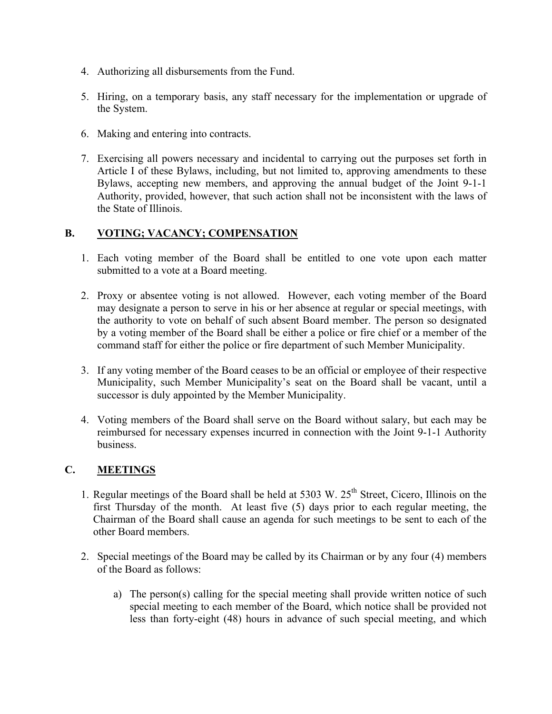- 4. Authorizing all disbursements from the Fund.
- 5. Hiring, on a temporary basis, any staff necessary for the implementation or upgrade of the System.
- 6. Making and entering into contracts.
- 7. Exercising all powers necessary and incidental to carrying out the purposes set forth in Article I of these Bylaws, including, but not limited to, approving amendments to these Bylaws, accepting new members, and approving the annual budget of the Joint 9-1-1 Authority, provided, however, that such action shall not be inconsistent with the laws of the State of Illinois.

#### **B. VOTING; VACANCY; COMPENSATION**

- 1. Each voting member of the Board shall be entitled to one vote upon each matter submitted to a vote at a Board meeting.
- 2. Proxy or absentee voting is not allowed. However, each voting member of the Board may designate a person to serve in his or her absence at regular or special meetings, with the authority to vote on behalf of such absent Board member. The person so designated by a voting member of the Board shall be either a police or fire chief or a member of the command staff for either the police or fire department of such Member Municipality.
- 3. If any voting member of the Board ceases to be an official or employee of their respective Municipality, such Member Municipality's seat on the Board shall be vacant, until a successor is duly appointed by the Member Municipality.
- 4. Voting members of the Board shall serve on the Board without salary, but each may be reimbursed for necessary expenses incurred in connection with the Joint 9-1-1 Authority business.

### **C. MEETINGS**

- 1. Regular meetings of the Board shall be held at  $5303 \text{ W}$ .  $25^{\text{th}}$  Street, Cicero, Illinois on the first Thursday of the month. At least five (5) days prior to each regular meeting, the Chairman of the Board shall cause an agenda for such meetings to be sent to each of the other Board members.
- 2. Special meetings of the Board may be called by its Chairman or by any four (4) members of the Board as follows:
	- a) The person(s) calling for the special meeting shall provide written notice of such special meeting to each member of the Board, which notice shall be provided not less than forty-eight (48) hours in advance of such special meeting, and which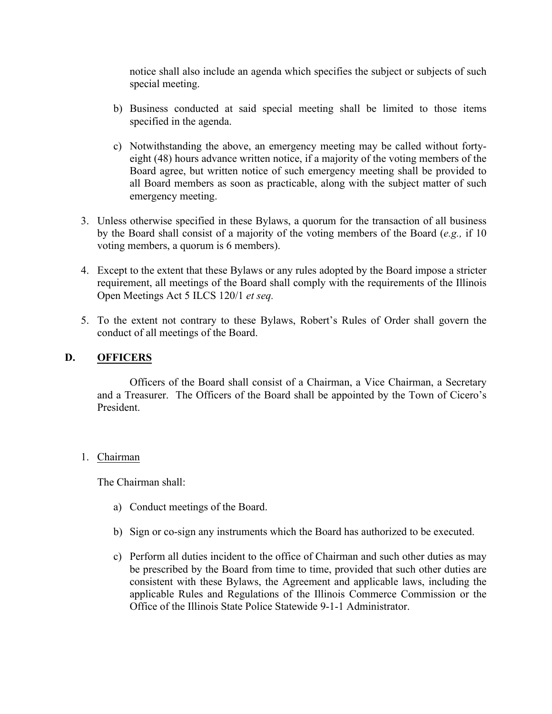notice shall also include an agenda which specifies the subject or subjects of such special meeting.

- b) Business conducted at said special meeting shall be limited to those items specified in the agenda.
- c) Notwithstanding the above, an emergency meeting may be called without fortyeight (48) hours advance written notice, if a majority of the voting members of the Board agree, but written notice of such emergency meeting shall be provided to all Board members as soon as practicable, along with the subject matter of such emergency meeting.
- 3. Unless otherwise specified in these Bylaws, a quorum for the transaction of all business by the Board shall consist of a majority of the voting members of the Board (*e.g.,* if 10 voting members, a quorum is 6 members).
- 4. Except to the extent that these Bylaws or any rules adopted by the Board impose a stricter requirement, all meetings of the Board shall comply with the requirements of the Illinois Open Meetings Act 5 ILCS 120/1 *et seq.*
- 5. To the extent not contrary to these Bylaws, Robert's Rules of Order shall govern the conduct of all meetings of the Board.

### **D. OFFICERS**

Officers of the Board shall consist of a Chairman, a Vice Chairman, a Secretary and a Treasurer. The Officers of the Board shall be appointed by the Town of Cicero's President.

#### 1. Chairman

The Chairman shall:

- a) Conduct meetings of the Board.
- b) Sign or co-sign any instruments which the Board has authorized to be executed.
- c) Perform all duties incident to the office of Chairman and such other duties as may be prescribed by the Board from time to time, provided that such other duties are consistent with these Bylaws, the Agreement and applicable laws, including the applicable Rules and Regulations of the Illinois Commerce Commission or the Office of the Illinois State Police Statewide 9-1-1 Administrator.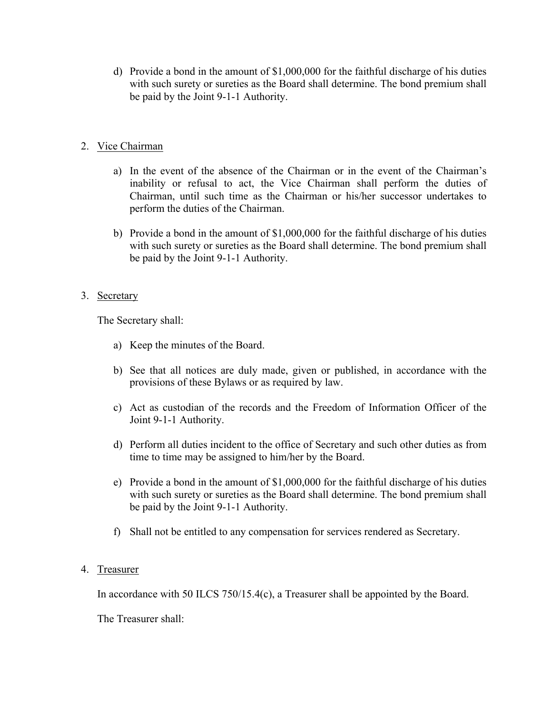d) Provide a bond in the amount of \$1,000,000 for the faithful discharge of his duties with such surety or sureties as the Board shall determine. The bond premium shall be paid by the Joint 9-1-1 Authority.

### 2. Vice Chairman

- a) In the event of the absence of the Chairman or in the event of the Chairman's inability or refusal to act, the Vice Chairman shall perform the duties of Chairman, until such time as the Chairman or his/her successor undertakes to perform the duties of the Chairman.
- b) Provide a bond in the amount of \$1,000,000 for the faithful discharge of his duties with such surety or sureties as the Board shall determine. The bond premium shall be paid by the Joint 9-1-1 Authority.

### 3. Secretary

The Secretary shall:

- a) Keep the minutes of the Board.
- b) See that all notices are duly made, given or published, in accordance with the provisions of these Bylaws or as required by law.
- c) Act as custodian of the records and the Freedom of Information Officer of the Joint 9-1-1 Authority.
- d) Perform all duties incident to the office of Secretary and such other duties as from time to time may be assigned to him/her by the Board.
- e) Provide a bond in the amount of \$1,000,000 for the faithful discharge of his duties with such surety or sureties as the Board shall determine. The bond premium shall be paid by the Joint 9-1-1 Authority.
- f) Shall not be entitled to any compensation for services rendered as Secretary.

### 4. Treasurer

In accordance with 50 ILCS 750/15.4(c), a Treasurer shall be appointed by the Board.

The Treasurer shall: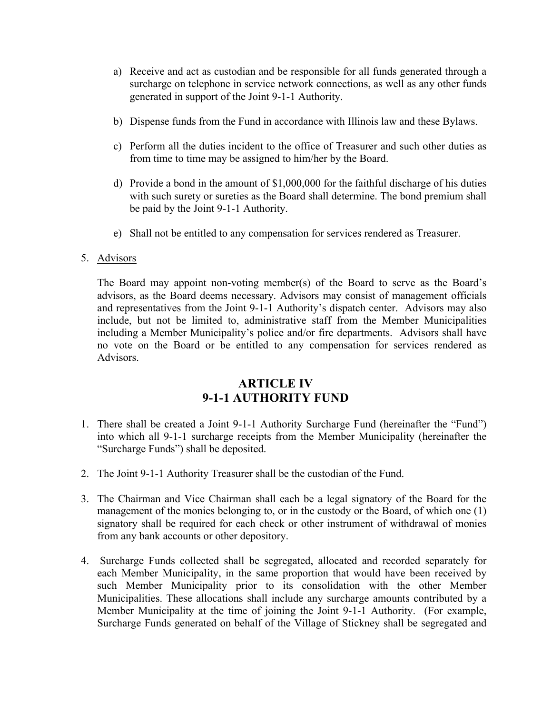- a) Receive and act as custodian and be responsible for all funds generated through a surcharge on telephone in service network connections, as well as any other funds generated in support of the Joint 9-1-1 Authority.
- b) Dispense funds from the Fund in accordance with Illinois law and these Bylaws.
- c) Perform all the duties incident to the office of Treasurer and such other duties as from time to time may be assigned to him/her by the Board.
- d) Provide a bond in the amount of \$1,000,000 for the faithful discharge of his duties with such surety or sureties as the Board shall determine. The bond premium shall be paid by the Joint 9-1-1 Authority.
- e) Shall not be entitled to any compensation for services rendered as Treasurer.

## 5. Advisors

The Board may appoint non-voting member(s) of the Board to serve as the Board's advisors, as the Board deems necessary. Advisors may consist of management officials and representatives from the Joint 9-1-1 Authority's dispatch center. Advisors may also include, but not be limited to, administrative staff from the Member Municipalities including a Member Municipality's police and/or fire departments. Advisors shall have no vote on the Board or be entitled to any compensation for services rendered as Advisors.

# **ARTICLE IV 9-1-1 AUTHORITY FUND**

- 1. There shall be created a Joint 9-1-1 Authority Surcharge Fund (hereinafter the "Fund") into which all 9-1-1 surcharge receipts from the Member Municipality (hereinafter the "Surcharge Funds") shall be deposited.
- 2. The Joint 9-1-1 Authority Treasurer shall be the custodian of the Fund.
- 3. The Chairman and Vice Chairman shall each be a legal signatory of the Board for the management of the monies belonging to, or in the custody or the Board, of which one (1) signatory shall be required for each check or other instrument of withdrawal of monies from any bank accounts or other depository.
- 4. Surcharge Funds collected shall be segregated, allocated and recorded separately for each Member Municipality, in the same proportion that would have been received by such Member Municipality prior to its consolidation with the other Member Municipalities. These allocations shall include any surcharge amounts contributed by a Member Municipality at the time of joining the Joint 9-1-1 Authority. (For example, Surcharge Funds generated on behalf of the Village of Stickney shall be segregated and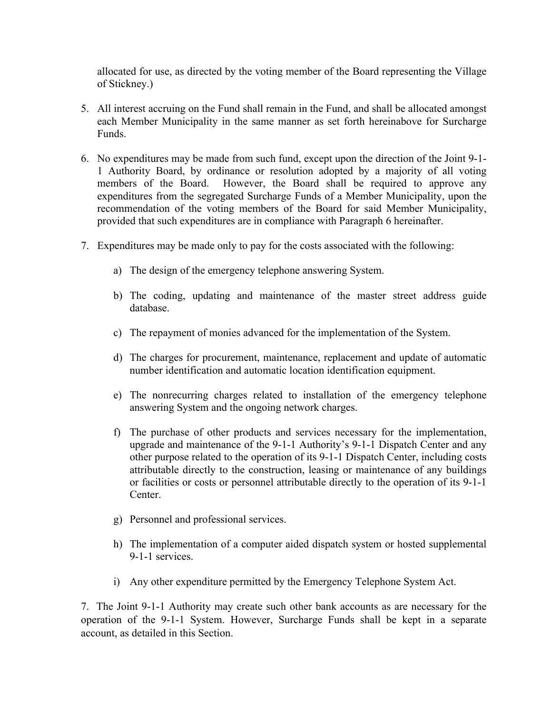allocated for use, as directed by the voting member of the Board representing the Village of Stickney.)

- 5. All interest accruing on the Fund shall remain in the Fund, and shall be allocated amongst each Member Municipality in the same manner as set forth hereinabove for Surcharge Funds.
- 6. No expenditures may be made from such fund, except upon the direction of the Joint 9-1- 1 Authority Board, by ordinance or resolution adopted by a majority of all voting members of the Board. However, the Board shall be required to approve any expenditures from the segregated Surcharge Funds of a Member Municipality, upon the recommendation of the voting members of the Board for said Member Municipality, provided that such expenditures are in compliance with Paragraph 6 hereinafter.
- 7. Expenditures may be made only to pay for the costs associated with the following:
	- a) The design of the emergency telephone answering System.
	- b) The coding, updating and maintenance of the master street address guide database.
	- c) The repayment of monies advanced for the implementation of the System.
	- d) The charges for procurement, maintenance, replacement and update of automatic number identification and automatic location identification equipment.
	- e) The nonrecurring charges related to installation of the emergency telephone answering System and the ongoing network charges.
	- f) The purchase of other products and services necessary for the implementation, upgrade and maintenance of the 9-1-1 Authority's 9-1-1 Dispatch Center and any other purpose related to the operation of its 9-1-1 Dispatch Center, including costs attributable directly to the construction, leasing or maintenance of any buildings or facilities or costs or personnel attributable directly to the operation of its 9-1-1 Center.
	- g) Personnel and professional services.
	- h) The implementation of a computer aided dispatch system or hosted supplemental 9-1-1 services.
	- i) Any other expenditure permitted by the Emergency Telephone System Act.

7. The Joint 9-1-1 Authority may create such other bank accounts as are necessary for the operation of the 9-1-1 System. However, Surcharge Funds shall be kept in a separate account, as detailed in this Section.